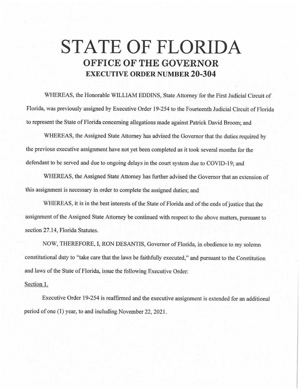## **STATE OF FLORIDA OFFICE OF THE GOVERNOR EXECUTIVE ORDER NUMBER 20-304**

WHEREAS, the Honorable WILLIAM EDDINS, State Attorney for the First Judicial Circuit of Florida, was previously assigned by Executive Order 19-254 to the Fourteenth Judicial Circuit of Florida to represent the State of Florida concerning allegations made against Patrick David Broom; and

WHEREAS, the Assigned State Attorney has advised the Governor that the duties required by the previous executive assignment have not yet been completed as it took several months for the defendant to be served and due to ongoing delays in the court system due to COVID-19; and

WHEREAS, the Assigned State Attorney has further advised the Governor that an extension of this assignment is necessary in order to complete the assigned duties; and

WHEREAS, it is in the best interests of the State of Florida and of the ends of justice that the assignment of the Assigned State Attorney be continued with respect to the above matters, pursuant to section 27.14, Florida Statutes.

NOW, THEREFORE, I, RON DESANTIS, Governor of Florida, in obedience to my solemn constitutional duty to "take care that the laws be faithfully executed," and pursuant to the Constitution and laws of the State of Florida, issue the following Executive Order:

## Section 1.

Executive Order 19-254 is reaffirmed and the executive assignment is extended for an additional period of one (1) year, to and including November 22, 2021.